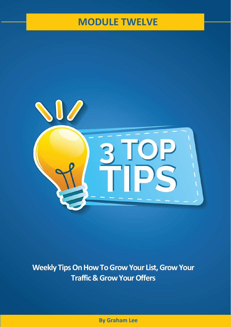## **MODULE TWELVE**



**Weekly Tips On How To Grow Your List, Grow Your Traffic & Grow Your Offers** 

**By Graham Lee**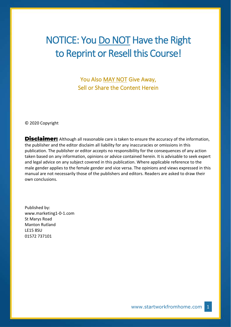# NOTICE: You Do NOT Have the Right to Reprint or Resell this Course!

You Also MAY NOT Give Away, Sell or Share the Content Herein

© 2020 Copyright

**Disclaimer:** Although all reasonable care is taken to ensure the accuracy of the information, the publisher and the editor disclaim all liability for any inaccuracies or omissions in this publication. The publisher or editor accepts no responsibility for the consequences of any action taken based on any information, opinions or advice contained herein. It is advisable to seek expert and legal advice on any subject covered in this publication. Where applicable reference to the male gender applies to the female gender and vice versa. The opinions and views expressed in this manual are not necessarily those of the publishers and editors. Readers are asked to draw their own conclusions.

Published by: www.marketing1-0-1.com St Marys Road Manton Rutland LE15 8SU 01572 737101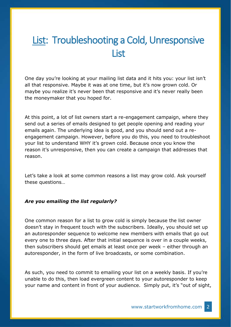## List: Troubleshooting a Cold, Unresponsive **List**

One day you're looking at your mailing list data and it hits you: your list isn't all that responsive. Maybe it was at one time, but it's now grown cold. Or maybe you realize it's never been that responsive and it's never really been the moneymaker that you hoped for.

At this point, a lot of list owners start a re-engagement campaign, where they send out a series of emails designed to get people opening and reading your emails again. The underlying idea is good, and you should send out a reengagement campaign. However, before you do this, you need to troubleshoot your list to understand WHY it's grown cold. Because once you know the reason it's unresponsive, then you can create a campaign that addresses that reason.

Let's take a look at some common reasons a list may grow cold. Ask yourself these questions…

## *Are you emailing the list regularly?*

One common reason for a list to grow cold is simply because the list owner doesn't stay in frequent touch with the subscribers. Ideally, you should set up an autoresponder sequence to welcome new members with emails that go out every one to three days. After that initial sequence is over in a couple weeks, then subscribers should get emails at least once per week – either through an autoresponder, in the form of live broadcasts, or some combination.

As such, you need to commit to emailing your list on a weekly basis. If you're unable to do this, then load evergreen content to your autoresponder to keep your name and content in front of your audience. Simply put, it's "out of sight,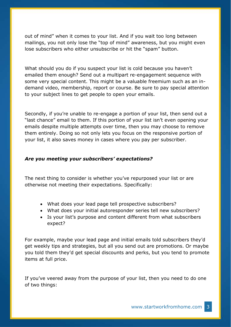out of mind" when it comes to your list. And if you wait too long between mailings, you not only lose the "top of mind" awareness, but you might even lose subscribers who either unsubscribe or hit the "spam" button.

What should you do if you suspect your list is cold because you haven't emailed them enough? Send out a multipart re-engagement sequence with some very special content. This might be a valuable freemium such as an indemand video, membership, report or course. Be sure to pay special attention to your subject lines to get people to open your emails.

Secondly, if you're unable to re-engage a portion of your list, then send out a "last chance" email to them. If this portion of your list isn't even opening your emails despite multiple attempts over time, then you may choose to remove them entirely. Doing so not only lets you focus on the responsive portion of your list, it also saves money in cases where you pay per subscriber.

## *Are you meeting your subscribers' expectations?*

The next thing to consider is whether you've repurposed your list or are otherwise not meeting their expectations. Specifically:

- What does your lead page tell prospective subscribers?
- What does your initial autoresponder series tell new subscribers?
- Is your list's purpose and content different from what subscribers expect?

For example, maybe your lead page and initial emails told subscribers they'd get weekly tips and strategies, but all you send out are promotions. Or maybe you told them they'd get special discounts and perks, but you tend to promote items at full price.

If you've veered away from the purpose of your list, then you need to do one of two things: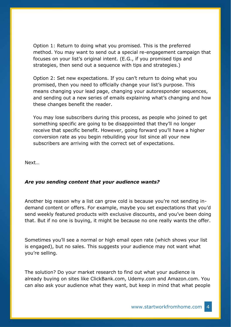Option 1: Return to doing what you promised. This is the preferred method. You may want to send out a special re-engagement campaign that focuses on your list's original intent. (E.G., if you promised tips and strategies, then send out a sequence with tips and strategies.)

Option 2: Set new expectations. If you can't return to doing what you promised, then you need to officially change your list's purpose. This means changing your lead page, changing your autoresponder sequences, and sending out a new series of emails explaining what's changing and how these changes benefit the reader.

You may lose subscribers during this process, as people who joined to get something specific are going to be disappointed that they'll no longer receive that specific benefit. However, going forward you'll have a higher conversion rate as you begin rebuilding your list since all your new subscribers are arriving with the correct set of expectations.

Next…

## *Are you sending content that your audience wants?*

Another big reason why a list can grow cold is because you're not sending indemand content or offers. For example, maybe you set expectations that you'd send weekly featured products with exclusive discounts, and you've been doing that. But if no one is buying, it might be because no one really wants the offer.

Sometimes you'll see a normal or high email open rate (which shows your list is engaged), but no sales. This suggests your audience may not want what you're selling.

The solution? Do your market research to find out what your audience is already buying on sites like ClickBank.com, Udemy.com and Amazon.com. You can also ask your audience what they want, but keep in mind that what people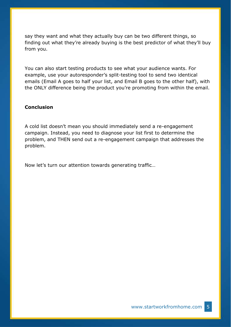say they want and what they actually buy can be two different things, so finding out what they're already buying is the best predictor of what they'll buy from you.

You can also start testing products to see what your audience wants. For example, use your autoresponder's split-testing tool to send two identical emails (Email A goes to half your list, and Email B goes to the other half), with the ONLY difference being the product you're promoting from within the email.

### **Conclusion**

A cold list doesn't mean you should immediately send a re-engagement campaign. Instead, you need to diagnose your list first to determine the problem, and THEN send out a re-engagement campaign that addresses the problem.

Now let's turn our attention towards generating traffic…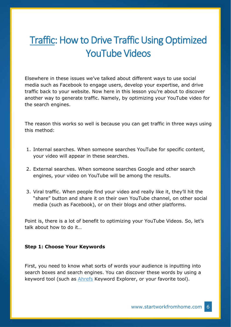# Traffic: How to Drive Traffic Using Optimized YouTube Videos

Elsewhere in these issues we've talked about different ways to use social media such as Facebook to engage users, develop your expertise, and drive traffic back to your website. Now here in this lesson you're about to discover another way to generate traffic. Namely, by optimizing your YouTube video for the search engines.

The reason this works so well is because you can get traffic in three ways using this method:

- 1. Internal searches. When someone searches YouTube for specific content, your video will appear in these searches.
- 2. External searches. When someone searches Google and other search engines, your video on YouTube will be among the results.
- 3. Viral traffic. When people find your video and really like it, they'll hit the "share" button and share it on their own YouTube channel, on other social media (such as Facebook), or on their blogs and other platforms.

Point is, there is a lot of benefit to optimizing your YouTube Videos. So, let's talk about how to do it…

#### **Step 1: Choose Your Keywords**

First, you need to know what sorts of words your audience is inputting into search boxes and search engines. You can discover these words by using a keyword tool (such as [Ahrefs](https://ahrefs.com/keywords-explorer) Keyword Explorer, or your favorite tool).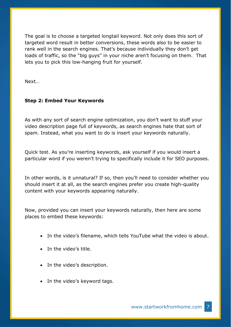The goal is to choose a targeted longtail keyword. Not only does this sort of targeted word result in better conversions, these words also to be easier to rank well in the search engines. That's because individually they don't get loads of traffic, so the "big guys" in your niche aren't focusing on them. That lets you to pick this low-hanging fruit for yourself.

Next…

## **Step 2: Embed Your Keywords**

As with any sort of search engine optimization, you don't want to stuff your video description page full of keywords, as search engines hate that sort of spam. Instead, what you want to do is insert your keywords naturally.

Quick test. As you're inserting keywords, ask yourself if you would insert a particular word if you weren't trying to specifically include it for SEO purposes.

In other words, is it unnatural? If so, then you'll need to consider whether you should insert it at all, as the search engines prefer you create high-quality content with your keywords appearing naturally.

Now, provided you can insert your keywords naturally, then here are some places to embed these keywords:

- In the video's filename, which tells YouTube what the video is about.
- In the video's title.
- In the video's description.
- In the video's keyword tags.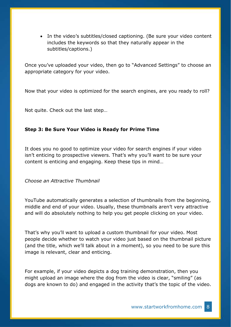• In the video's subtitles/closed captioning. (Be sure your video content includes the keywords so that they naturally appear in the subtitles/captions.)

Once you've uploaded your video, then go to "Advanced Settings" to choose an appropriate category for your video.

Now that your video is optimized for the search engines, are you ready to roll?

Not quite. Check out the last step…

## **Step 3: Be Sure Your Video is Ready for Prime Time**

It does you no good to optimize your video for search engines if your video isn't enticing to prospective viewers. That's why you'll want to be sure your content is enticing and engaging. Keep these tips in mind…

*Choose an Attractive Thumbnail*

YouTube automatically generates a selection of thumbnails from the beginning, middle and end of your video. Usually, these thumbnails aren't very attractive and will do absolutely nothing to help you get people clicking on your video.

That's why you'll want to upload a custom thumbnail for your video. Most people decide whether to watch your video just based on the thumbnail picture (and the title, which we'll talk about in a moment), so you need to be sure this image is relevant, clear and enticing.

For example, if your video depicts a dog training demonstration, then you might upload an image where the dog from the video is clear, "smiling" (as dogs are known to do) and engaged in the activity that's the topic of the video.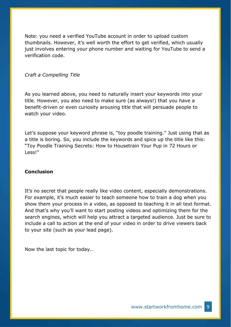Note: you need a verified YouTube account in order to upload custom thumbnails. However, it's well worth the effort to get verified, which usually just involves entering your phone number and waiting for YouTube to send a verification code.

#### *Craft a Compelling Title*

As you learned above, you need to naturally insert your keywords into your title. However, you also need to make sure (as always!) that you have a benefit-driven or even curiosity arousing title that will persuade people to watch your video.

Let's suppose your keyword phrase is, "toy poodle training." Just using that as a title is boring. So, you include the keywords and spice up the title like this: "Toy Poodle Training Secrets: How to Housetrain Your Pup in 72 Hours or Less!"

### **Conclusion**

It's no secret that people really like video content, especially demonstrations. For example, it's much easier to teach someone how to train a dog when you show them your process in a video, as opposed to teaching it in all text format. And that's why you'll want to start posting videos and optimizing them for the search engines, which will help you attract a targeted audience. Just be sure to include a call to action at the end of your video in order to drive viewers back to your site (such as your lead page).

Now the last topic for today…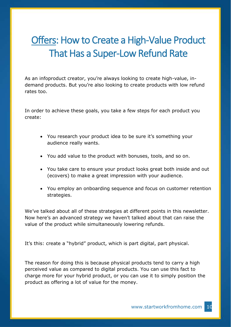# Offers: How to Create a High-Value Product That Has a Super-Low Refund Rate

As an infoproduct creator, you're always looking to create high-value, indemand products. But you're also looking to create products with low refund rates too.

In order to achieve these goals, you take a few steps for each product you create:

- You research your product idea to be sure it's something your audience really wants.
- You add value to the product with bonuses, tools, and so on.
- You take care to ensure your product looks great both inside and out (ecovers) to make a great impression with your audience.
- You employ an onboarding sequence and focus on customer retention strategies.

We've talked about all of these strategies at different points in this newsletter. Now here's an advanced strategy we haven't talked about that can raise the value of the product while simultaneously lowering refunds.

It's this: create a "hybrid" product, which is part digital, part physical.

The reason for doing this is because physical products tend to carry a high perceived value as compared to digital products. You can use this fact to charge more for your hybrid product, or you can use it to simply position the product as offering a lot of value for the money.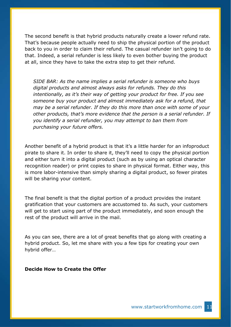The second benefit is that hybrid products naturally create a lower refund rate. That's because people actually need to ship the physical portion of the product back to you in order to claim their refund. The casual refunder isn't going to do that. Indeed, a serial refunder is less likely to even bother buying the product at all, since they have to take the extra step to get their refund.

*SIDE BAR: As the name implies a serial refunder is someone who buys digital products and almost always asks for refunds. They do this intentionally, as it's their way of getting your product for free. If you see someone buy your product and almost immediately ask for a refund, that may be a serial refunder. If they do this more than once with some of your other products, that's more evidence that the person is a serial refunder. If you identify a serial refunder, you may attempt to ban them from purchasing your future offers.*

Another benefit of a hybrid product is that it's a little harder for an infoproduct pirate to share it. In order to share it, they'll need to copy the physical portion and either turn it into a digital product (such as by using an optical character recognition reader) or print copies to share in physical format. Either way, this is more labor-intensive than simply sharing a digital product, so fewer pirates will be sharing your content.

The final benefit is that the digital portion of a product provides the instant gratification that your customers are accustomed to. As such, your customers will get to start using part of the product immediately, and soon enough the rest of the product will arrive in the mail.

As you can see, there are a lot of great benefits that go along with creating a hybrid product. So, let me share with you a few tips for creating your own hybrid offer…

**Decide How to Create the Offer**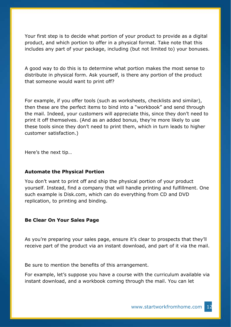Your first step is to decide what portion of your product to provide as a digital product, and which portion to offer in a physical format. Take note that this includes any part of your package, including (but not limited to) your bonuses.

A good way to do this is to determine what portion makes the most sense to distribute in physical form. Ask yourself, is there any portion of the product that someone would want to print off?

For example, if you offer tools (such as worksheets, checklists and similar), then these are the perfect items to bind into a "workbook" and send through the mail. Indeed, your customers will appreciate this, since they don't need to print it off themselves. (And as an added bonus, they're more likely to use these tools since they don't need to print them, which in turn leads to higher customer satisfaction.)

Here's the next tip…

## **Automate the Physical Portion**

You don't want to print off and ship the physical portion of your product yourself. Instead, find a company that will handle printing and fulfillment. One such example is Disk.com, which can do everything from CD and DVD replication, to printing and binding.

#### **Be Clear On Your Sales Page**

As you're preparing your sales page, ensure it's clear to prospects that they'll receive part of the product via an instant download, and part of it via the mail.

Be sure to mention the benefits of this arrangement.

For example, let's suppose you have a course with the curriculum available via instant download, and a workbook coming through the mail. You can let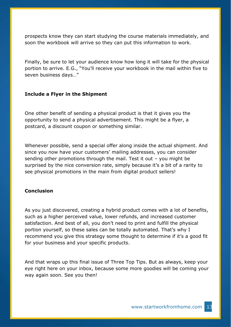prospects know they can start studying the course materials immediately, and soon the workbook will arrive so they can put this information to work.

Finally, be sure to let your audience know how long it will take for the physical portion to arrive. E.G., "You'll receive your workbook in the mail within five to seven business days…"

### **Include a Flyer in the Shipment**

One other benefit of sending a physical product is that it gives you the opportunity to send a physical advertisement. This might be a flyer, a postcard, a discount coupon or something similar.

Whenever possible, send a special offer along inside the actual shipment. And since you now have your customers' mailing addresses, you can consider sending other promotions through the mail. Test it out – you might be surprised by the nice conversion rate, simply because it's a bit of a rarity to see physical promotions in the main from digital product sellers!

## **Conclusion**

As you just discovered, creating a hybrid product comes with a lot of benefits, such as a higher perceived value, lower refunds, and increased customer satisfaction. And best of all, you don't need to print and fulfill the physical portion yourself, so these sales can be totally automated. That's why I recommend you give this strategy some thought to determine if it's a good fit for your business and your specific products.

And that wraps up this final issue of Three Top Tips. But as always, keep your eye right here on your inbox, because some more goodies will be coming your way again soon. See you then!